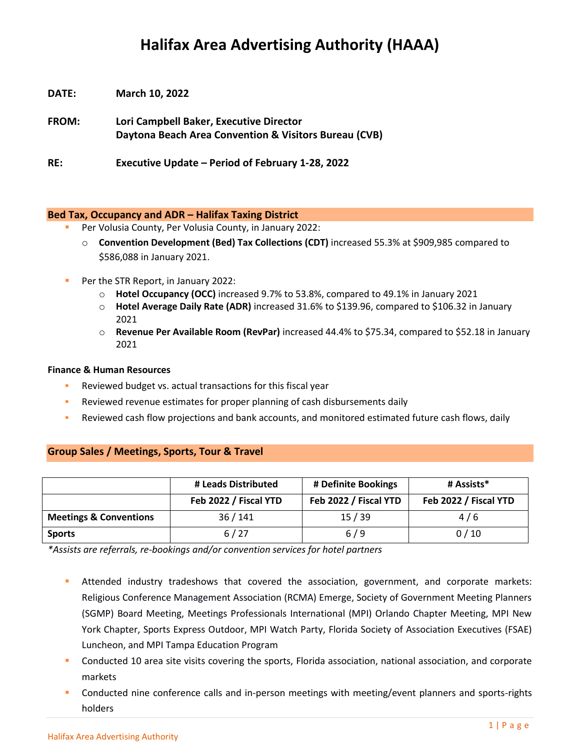# **Halifax Area Advertising Authority (HAAA)**

- **DATE: March 10, 2022**
- **FROM: Lori Campbell Baker, Executive Director Daytona Beach Area Convention & Visitors Bureau (CVB)**

**RE: Executive Update – Period of February 1-28, 2022**

## **Bed Tax, Occupancy and ADR – Halifax Taxing District**

- Per Volusia County, Per Volusia County, in January 2022:
	- o **Convention Development (Bed) Tax Collections (CDT)** increased 55.3% at \$909,985 compared to \$586,088 in January 2021.
- **Per the STR Report, in January 2022:** 
	- o **Hotel Occupancy (OCC)** increased 9.7% to 53.8%, compared to 49.1% in January 2021
	- o **Hotel Average Daily Rate (ADR)** increased 31.6% to \$139.96, compared to \$106.32 in January 2021
	- o **Revenue Per Available Room (RevPar)** increased 44.4% to \$75.34, compared to \$52.18 in January 2021

## **Finance & Human Resources**

- Reviewed budget vs. actual transactions for this fiscal year
- Reviewed revenue estimates for proper planning of cash disbursements daily
- Reviewed cash flow projections and bank accounts, and monitored estimated future cash flows, daily

# **Group Sales / Meetings, Sports, Tour & Travel**

|                                   | # Leads Distributed   | # Definite Bookings   | # Assists*            |
|-----------------------------------|-----------------------|-----------------------|-----------------------|
|                                   | Feb 2022 / Fiscal YTD | Feb 2022 / Fiscal YTD | Feb 2022 / Fiscal YTD |
| <b>Meetings &amp; Conventions</b> | 36/141                | 15/39                 | 4/6                   |
| <b>Sports</b>                     | 6/27                  | 6/9                   | 0/10                  |

*\*Assists are referrals, re-bookings and/or convention services for hotel partners*

- Attended industry tradeshows that covered the association, government, and corporate markets: Religious Conference Management Association (RCMA) Emerge, Society of Government Meeting Planners (SGMP) Board Meeting, Meetings Professionals International (MPI) Orlando Chapter Meeting, MPI New York Chapter, Sports Express Outdoor, MPI Watch Party, Florida Society of Association Executives (FSAE) Luncheon, and MPI Tampa Education Program
- Conducted 10 area site visits covering the sports, Florida association, national association, and corporate markets
- Conducted nine conference calls and in-person meetings with meeting/event planners and sports-rights holders